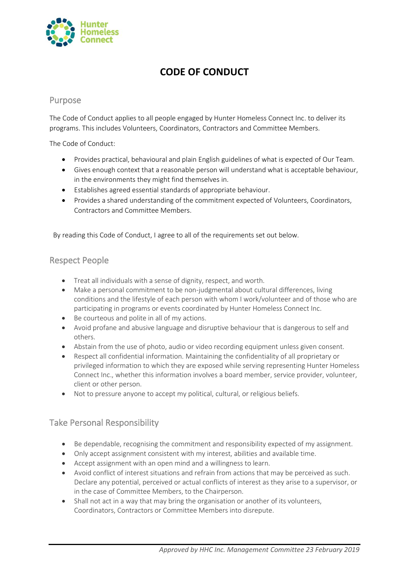

# **CODE OF CONDUCT**

#### Purpose

The Code of Conduct applies to all people engaged by Hunter Homeless Connect Inc. to deliver its programs. This includes Volunteers, Coordinators, Contractors and Committee Members.

The Code of Conduct:

- Provides practical, behavioural and plain English guidelines of what is expected of Our Team.
- Gives enough context that a reasonable person will understand what is acceptable behaviour, in the environments they might find themselves in.
- Establishes agreed essential standards of appropriate behaviour.
- Provides a shared understanding of the commitment expected of Volunteers, Coordinators, Contractors and Committee Members.

By reading this Code of Conduct, I agree to all of the requirements set out below.

### Respect People

- Treat all individuals with a sense of dignity, respect, and worth.
- Make a personal commitment to be non-judgmental about cultural differences, living conditions and the lifestyle of each person with whom I work/volunteer and of those who are participating in programs or events coordinated by Hunter Homeless Connect Inc.
- Be courteous and polite in all of my actions.
- Avoid profane and abusive language and disruptive behaviour that is dangerous to self and others.
- Abstain from the use of photo, audio or video recording equipment unless given consent.
- Respect all confidential information. Maintaining the confidentiality of all proprietary or privileged information to which they are exposed while serving representing Hunter Homeless Connect Inc., whether this information involves a board member, service provider, volunteer, client or other person.
- Not to pressure anyone to accept my political, cultural, or religious beliefs.

## Take Personal Responsibility

- Be dependable, recognising the commitment and responsibility expected of my assignment.
- Only accept assignment consistent with my interest, abilities and available time.
- Accept assignment with an open mind and a willingness to learn.
- Avoid conflict of interest situations and refrain from actions that may be perceived as such. Declare any potential, perceived or actual conflicts of interest as they arise to a supervisor, or in the case of Committee Members, to the Chairperson.
- Shall not act in a way that may bring the organisation or another of its volunteers, Coordinators, Contractors or Committee Members into disrepute.